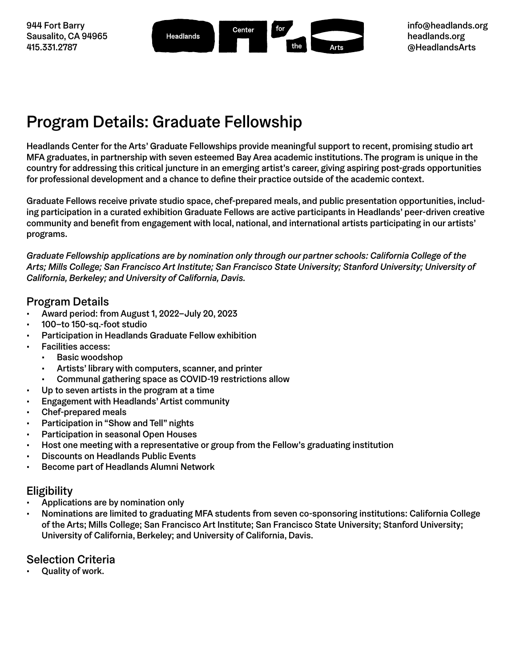944 Fort Barry Sausalito, CA 94965 415.331.2787

| J<br>for<br>Center<br>Headlands<br>the<br>Arts |  |  |  |  |  |
|------------------------------------------------|--|--|--|--|--|
|------------------------------------------------|--|--|--|--|--|

## Program Details: Graduate Fellowship

Headlands Center for the Arts' Graduate Fellowships provide meaningful support to recent, promising studio art MFA graduates, in partnership with seven esteemed Bay Area academic institutions. The program is unique in the country for addressing this critical juncture in an emerging artist's career, giving aspiring post-grads opportunities for professional development and a chance to define their practice outside of the academic context.

Graduate Fellows receive private studio space, chef-prepared meals, and public presentation opportunities, including participation in a curated exhibition Graduate Fellows are active participants in Headlands' peer-driven creative community and benefit from engagement with local, national, and international artists participating in our artists' programs.

*Graduate Fellowship applications are by nomination only through our partner schools: California College of the Arts; Mills College; San Francisco Art Institute; San Francisco State University; Stanford University; University of California, Berkeley; and University of California, Davis.*

#### Program Details

- Award period: from August 1, 2022–July 20, 2023
- 100–to 150-sq.-foot studio
- Participation in Headlands Graduate Fellow exhibition
- Facilities access:
	- Basic woodshop
	- Artists' library with computers, scanner, and printer
	- Communal gathering space as COVID-19 restrictions allow
- Up to seven artists in the program at a time
- Engagement with Headlands' Artist community
- Chef-prepared meals
- Participation in "Show and Tell" nights
- Participation in seasonal Open Houses
- Host one meeting with a representative or group from the Fellow's graduating institution
- Discounts on Headlands Public Events
- Become part of Headlands Alumni Network

#### Eligibility

- Applications are by nomination only
- Nominations are limited to graduating MFA students from seven co-sponsoring institutions: California College of the Arts; Mills College; San Francisco Art Institute; San Francisco State University; Stanford University; University of California, Berkeley; and University of California, Davis.

#### Selection Criteria

• Quality of work.